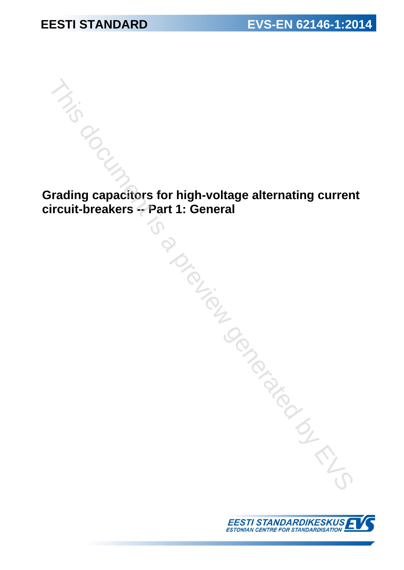**Grading capacitors for high-voltage alternating current circuit-breakers -- Part 1: General** This document is a preview generated by EVS

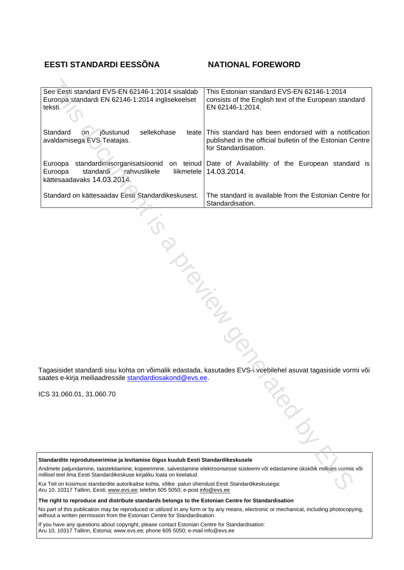### **EESTI STANDARDI EESSÕNA NATIONAL FOREWORD**

| See Eesti standard EVS-EN 62146-1:2014 sisaldab<br>Euroopa standardi EN 62146-1:2014 inglisekeelset<br>teksti.                                                                                               | This Estonian standard EVS-EN 62146-1:2014<br>consists of the English text of the European standard<br>EN 62146-1:2014.                  |
|--------------------------------------------------------------------------------------------------------------------------------------------------------------------------------------------------------------|------------------------------------------------------------------------------------------------------------------------------------------|
| Standard<br>jõustunud<br>sellekohase<br><b>on</b><br>teate<br>avaldamisega EVS Teatajas.                                                                                                                     | This standard has been endorsed with a notification<br>published in the official bulletin of the Estonian Centre<br>for Standardisation. |
| standardimisorganisatsioonid<br>Euroopa<br>Euroopa<br>standardi<br>rahvuslikele<br>liikmetele<br>kättesaadavaks 14.03.2014.                                                                                  | on teinud Date of Availability of the European standard is<br>14.03.2014.                                                                |
| Standard on kättesaadav Eesti Standardikeskusest.                                                                                                                                                            | The standard is available from the Estonian Centre for<br>Standardisation.                                                               |
|                                                                                                                                                                                                              |                                                                                                                                          |
|                                                                                                                                                                                                              |                                                                                                                                          |
| PIONTELIA                                                                                                                                                                                                    |                                                                                                                                          |
|                                                                                                                                                                                                              |                                                                                                                                          |
|                                                                                                                                                                                                              |                                                                                                                                          |
|                                                                                                                                                                                                              |                                                                                                                                          |
|                                                                                                                                                                                                              |                                                                                                                                          |
| saates e-kirja meiliaadressile standardiosakond@evs.ee.                                                                                                                                                      | Tagasisidet standardi sisu kohta on võimalik edastada, kasutades EVS-i veebilehel asuvat tagasiside vormi või                            |
| CS 31.060.01, 31.060.70                                                                                                                                                                                      |                                                                                                                                          |
|                                                                                                                                                                                                              |                                                                                                                                          |
| Standardite reprodutseerimise ja levitamise õigus kuulub Eesti Standardikeskusele                                                                                                                            |                                                                                                                                          |
| Andmete paljundamine, taastekitamine, kopeerimine, salvestamine elektroonsesse süsteemi või edastamine ükskõik millises vormis või<br>millisel teel ilma Eesti Standardikeskuse kirjaliku loata on keelatud. |                                                                                                                                          |
| Kui Teil on küsimusi standardite autorikaitse kohta, võtke palun ühendust Eesti Standardikeskusega:<br>Aru 10, 10317 Tallinn, Eesti: www.eys.ee: telefon 605 5050; e-post info@eys.ee                        |                                                                                                                                          |

Aru 10, 10317 Tallinn, Eesti; www.evs.ee; telefon 605 5050; e-post info@evs.ee

**The right to reproduce and distribute standards belongs to the Estonian Centre for Standardisation**

No part of this publication may be reproduced or utilized in any form or by any means, electronic or mechanical, including photocopying, without a written permission from the Estonian Centre for Standardisation.

If you have any questions about copyright, please contact Estonian Centre for Standardisation: Aru 10, 10317 Tallinn, Estonia; [www.evs.ee](http://www.evs.ee); phone 605 5050; e-mail info@evs.ee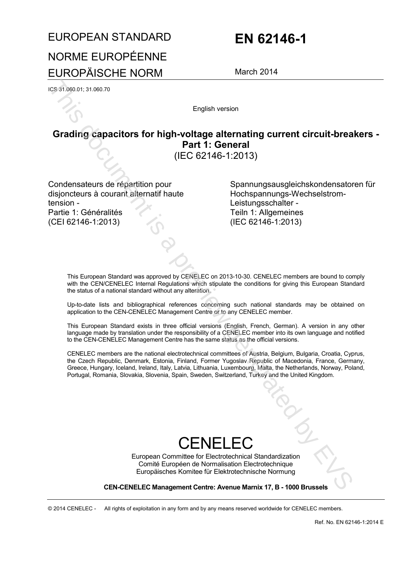# EUROPEAN STANDARD **EN 62146-1** NORME EUROPÉENNE EUROPÄISCHE NORM March 2014

ICS 31.060.01; 31.060.70

English version

# **Grading capacitors for high-voltage alternating current circuit-breakers - Part 1: General**

(IEC 62146-1:2013)

Condensateurs de répartition pour disjoncteurs à courant alternatif haute tension - Partie 1: Généralités (CEI 62146-1:2013)

Spannungsausgleichskondensatoren für Hochspannungs-Wechselstrom-Leistungsschalter - Teiln 1: Allgemeines (IEC 62146-1:2013)

This European Standard was approved by CENELEC on 2013-10-30. CENELEC members are bound to comply with the CEN/CENELEC Internal Regulations which stipulate the conditions for giving this European Standard the status of a national standard without any alteration.

Up-to-date lists and bibliographical references concerning such national standards may be obtained on application to the CEN-CENELEC Management Centre or to any CENELEC member.

This European Standard exists in three official versions (English, French, German). A version in any other language made by translation under the responsibility of a CENELEC member into its own language and notified to the CEN-CENELEC Management Centre has the same status as the official versions.

CENELEC members are the national electrotechnical committees of Austria, Belgium, Bulgaria, Croatia, Cyprus, the Czech Republic, Denmark, Estonia, Finland, Former Yugoslav Republic of Macedonia, France, Germany, Greece, Hungary, Iceland, Ireland, Italy, Latvia, Lithuania, Luxembourg, Malta, the Netherlands, Norway, Poland, Portugal, Romania, Slovakia, Slovenia, Spain, Sweden, Switzerland, Turkey and the United Kingdom. Example a proposition of the state of the state of the state of the state of the state of the state of the state of the state of the state of the state of the state of the state of the state of the state of the state of t

# CENELEC

European Committee for Electrotechnical Standardization Comité Européen de Normalisation Electrotechnique Europäisches Komitee für Elektrotechnische Normung

**CEN-CENELEC Management Centre: Avenue Marnix 17, B - 1000 Brussels** 

© 2014 CENELEC - All rights of exploitation in any form and by any means reserved worldwide for CENELEC members.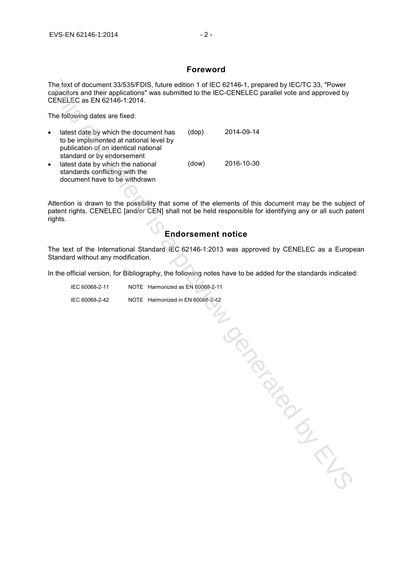#### **Foreword**

The text of document 33/535/FDIS, future edition 1 of IEC 62146-1, prepared by IEC/TC 33, "Power capacitors and their applications" was submitted to the IEC-CENELEC parallel vote and approved by CENELEC as EN 62146-1:2014.

The following dates are fixed:

| $\bullet$ | latest date by which the document has<br>to be implemented at national level by<br>publication of an identical national<br>standard or by endorsement | (dop) | 2014-09-14 |
|-----------|-------------------------------------------------------------------------------------------------------------------------------------------------------|-------|------------|
| $\bullet$ | latest date by which the national<br>standards conflicting with the<br>document have to be withdrawn                                                  | (dow) | 2016-10-30 |

Attention is drawn to the possibility that some of the elements of this document may be the subject of patent rights. CENELEC [and/or CEN] shall not be held responsible for identifying any or all such patent rights.

### **Endorsement notice**

The text of the International Standard IEC 62146-1:2013 was approved by CENELEC as a European Standard without any modification.

In the official version, for Bibliography, the following notes have to be added for the standards indicated:

| IEC 60068-2-11 | NOTE Harmonized as EN 60068-2-11 |
|----------------|----------------------------------|
| IEC 60068-2-42 | NOTE Harmonized in EN 60068-2-42 |

is donated by EVS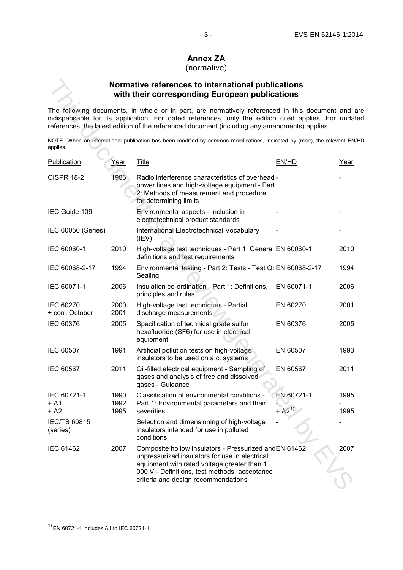#### - 3 - EN 62146-1:2014 EVS-EN 62146-1:2014

### **Annex ZA**

#### (normative)

#### **Normative references to international publications with their corresponding European publications**

|                                         |              | Normative references to international publications<br>with their corresponding European publications                                                                                                                                                                                                   |            |      |
|-----------------------------------------|--------------|--------------------------------------------------------------------------------------------------------------------------------------------------------------------------------------------------------------------------------------------------------------------------------------------------------|------------|------|
|                                         |              | The following documents, in whole or in part, are normatively referenced in this document and a<br>indispensable for its application. For dated references, only the edition cited applies. For undat<br>references, the latest edition of the referenced document (including any amendments) applies. |            |      |
| applies.                                |              | NOTE When an international publication has been modified by common modifications, indicated by (mod), the relevant EN/                                                                                                                                                                                 |            |      |
| Publication                             | <u>Year</u>  | <b>Title</b>                                                                                                                                                                                                                                                                                           | EN/HD      | Year |
| <b>CISPR 18-2</b>                       | 1986         | Radio interference characteristics of overhead -<br>power lines and high-voltage equipment - Part<br>2: Methods of measurement and procedure<br>for determining limits                                                                                                                                 |            |      |
| IEC Guide 109                           |              | Environmental aspects - Inclusion in<br>electrotechnical product standards                                                                                                                                                                                                                             |            |      |
| IEC 60050 (Series)                      |              | International Electrotechnical Vocabulary<br>(IEV)                                                                                                                                                                                                                                                     |            |      |
| IEC 60060-1                             | 2010         | High-voltage test techniques - Part 1: General EN 60060-1<br>definitions and test requirements                                                                                                                                                                                                         |            | 2010 |
| IEC 60068-2-17                          | 1994         | Environmental testing - Part 2: Tests - Test Q: EN 60068-2-17<br>Sealing                                                                                                                                                                                                                               |            | 1994 |
| IEC 60071-1                             | 2006         | Insulation co-ordination - Part 1: Definitions,<br>principles and rules                                                                                                                                                                                                                                | EN 60071-1 | 2006 |
| <b>IEC 60270</b><br>+ corr. October     | 2000<br>2001 | High-voltage test techniques - Partial<br>discharge measurements                                                                                                                                                                                                                                       | EN 60270   | 2001 |
| IEC 60376                               | 2005         | Specification of technical grade sulfur<br>hexafluoride (SF6) for use in electrical<br>equipment                                                                                                                                                                                                       | EN 60376   | 2005 |
| <b>IEC 60507</b>                        | 1991         | Artificial pollution tests on high-voltage<br>insulators to be used on a.c. systems                                                                                                                                                                                                                    | EN 60507   | 1993 |
| IEC 60567                               | 2011         | Oil-filled electrical equipment - Sampling of<br>gases and analysis of free and dissolved<br>gases - Guidance                                                                                                                                                                                          | EN 60567   | 2011 |
| IEC 60721-1<br>+ A1                     | 1990<br>1992 | Classification of environmental conditions -<br>Part 1: Environmental parameters and their                                                                                                                                                                                                             | EN 60721-1 | 1995 |
| + A2<br><b>IEC/TS 60815</b><br>(series) | 1995         | severities<br>Selection and dimensioning of high-voltage<br>insulators intended for use in polluted<br>conditions                                                                                                                                                                                      | $+ A2^{1}$ | 1995 |
| <b>IEC 61462</b>                        | 2007         | Composite hollow insulators - Pressurized and EN 61462<br>unpressurized insulators for use in electrical<br>equipment with rated voltage greater than 1<br>000 V - Definitions, test methods, acceptance<br>criteria and design recommendations                                                        |            | 2007 |

 $\overline{\phantom{a}}$ 

 $1)$  EN 60721-1 includes A1 to IEC 60721-1.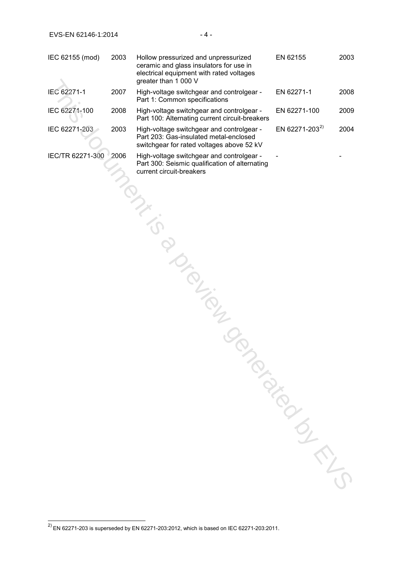| IEC 62155 (mod)  | 2003 | Hollow pressurized and unpressurized<br>ceramic and glass insulators for use in<br>electrical equipment with rated voltages<br>greater than 1 000 V | EN 62155                   | 2003 |
|------------------|------|-----------------------------------------------------------------------------------------------------------------------------------------------------|----------------------------|------|
| IEC 62271-1      | 2007 | High-voltage switchgear and controlgear -<br>Part 1: Common specifications                                                                          | EN 62271-1                 | 2008 |
| IEC 62271-100    | 2008 | High-voltage switchgear and controlgear -<br>Part 100: Alternating current circuit-breakers                                                         | EN 62271-100               | 2009 |
| IEC 62271-203    | 2003 | High-voltage switchgear and controlgear -<br>Part 203: Gas-insulated metal-enclosed<br>switchgear for rated voltages above 52 kV                    | EN 62271-203 <sup>2)</sup> | 2004 |
| IEC/TR 62271-300 | 2006 | High-voltage switchgear and controlgear -<br>Part 300: Seismic qualification of alternating<br>current circuit-breakers                             |                            |      |
|                  |      |                                                                                                                                                     |                            |      |
|                  |      |                                                                                                                                                     |                            |      |
|                  |      |                                                                                                                                                     |                            |      |
|                  |      |                                                                                                                                                     |                            |      |
|                  |      | ID TON TON                                                                                                                                          |                            |      |
|                  |      |                                                                                                                                                     |                            |      |
|                  |      |                                                                                                                                                     | TON BIROKS                 |      |
|                  |      |                                                                                                                                                     |                            |      |
|                  |      |                                                                                                                                                     |                            |      |
|                  |      |                                                                                                                                                     |                            |      |
|                  |      |                                                                                                                                                     |                            |      |
|                  |      |                                                                                                                                                     |                            |      |

 $\overline{a}$ 

 $^{2)}$  EN 62271-203 is superseded by EN 62271-203:2012, which is based on IEC 62271-203:2011.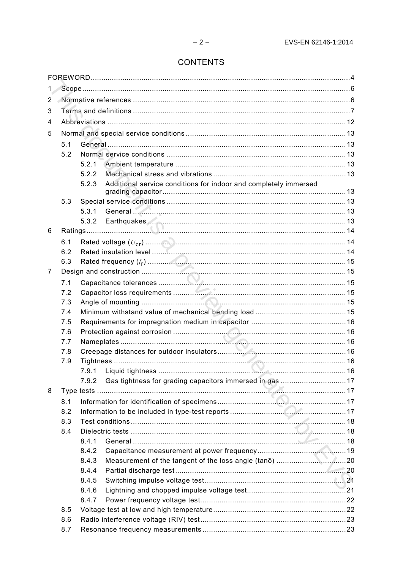## **CONTENTS**

| 1.                    |     |                                                                           |  |  |  |
|-----------------------|-----|---------------------------------------------------------------------------|--|--|--|
| $\mathbf{2}^{\prime}$ |     |                                                                           |  |  |  |
| 3                     |     |                                                                           |  |  |  |
| 4                     |     |                                                                           |  |  |  |
| 5                     |     |                                                                           |  |  |  |
|                       | 5.1 |                                                                           |  |  |  |
|                       | 5.2 |                                                                           |  |  |  |
|                       |     | 5.2.1                                                                     |  |  |  |
|                       |     | 5.2.2                                                                     |  |  |  |
|                       |     | 5.2.3<br>Additional service conditions for indoor and completely immersed |  |  |  |
|                       |     |                                                                           |  |  |  |
|                       | 5.3 |                                                                           |  |  |  |
|                       |     | 5.3.1                                                                     |  |  |  |
|                       |     | 5.3.2                                                                     |  |  |  |
| 6                     |     |                                                                           |  |  |  |
|                       | 6.1 |                                                                           |  |  |  |
|                       | 6.2 |                                                                           |  |  |  |
|                       | 6.3 |                                                                           |  |  |  |
| 7                     |     |                                                                           |  |  |  |
|                       | 7.1 |                                                                           |  |  |  |
|                       | 7.2 |                                                                           |  |  |  |
|                       | 7.3 |                                                                           |  |  |  |
|                       | 7.4 |                                                                           |  |  |  |
|                       | 7.5 |                                                                           |  |  |  |
|                       | 7.6 |                                                                           |  |  |  |
|                       | 7.7 |                                                                           |  |  |  |
|                       | 7.8 |                                                                           |  |  |  |
|                       | 7.9 |                                                                           |  |  |  |
|                       |     |                                                                           |  |  |  |
|                       |     | Gas tightness for grading capacitors immersed in gas 17<br>7.9.2          |  |  |  |
| 8                     |     |                                                                           |  |  |  |
|                       | 8.1 |                                                                           |  |  |  |
|                       | 8.2 |                                                                           |  |  |  |
|                       | 8.3 |                                                                           |  |  |  |
|                       | 8.4 |                                                                           |  |  |  |
|                       |     | 8.4.1                                                                     |  |  |  |
|                       |     | 8.4.2                                                                     |  |  |  |
|                       |     | 8.4.3                                                                     |  |  |  |
|                       |     | 8.4.4                                                                     |  |  |  |
|                       |     | 8.4.5<br>8.4.6                                                            |  |  |  |
|                       |     | 8.4.7                                                                     |  |  |  |
|                       | 8.5 |                                                                           |  |  |  |
|                       | 8.6 |                                                                           |  |  |  |
|                       | 8.7 |                                                                           |  |  |  |
|                       |     |                                                                           |  |  |  |